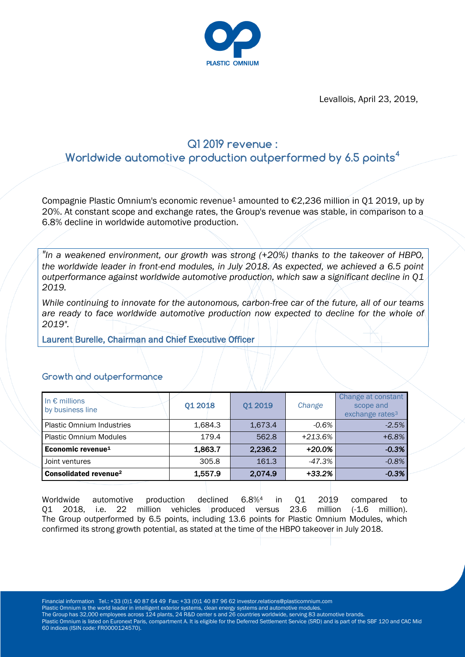

Levallois, April 23, 2019,

# **Q1 2019 revenue : Worldwide automotive production outperformed by 6.5 points<sup>4</sup>**

Compagnie Plastic Omnium's economic revenue<sup>1</sup> amounted to  $\epsilon$ 2,236 million in 01 2019, up by 20%. At constant scope and exchange rates, the Group's revenue was stable, in comparison to a 6.8% decline in worldwide automotive production.

*"In a weakened environment, our growth was strong (+20%) thanks to the takeover of HBPO, the worldwide leader in front-end modules, in July 2018. As expected, we achieved a 6.5 point outperformance against worldwide automotive production, which saw a significant decline in Q1 2019.*

*While continuing to innovate for the autonomous, carbon-free car of the future, all of our teams are ready to face worldwide automotive production now expected to decline for the whole of 2019".* 

Laurent Burelle, Chairman and Chief Executive Officer

| In $\epsilon$ millions<br>by business line | Q1 2018 | Q1 2019 | Change    | Change at constant<br>scope and<br>exchange rates <sup>3</sup> |
|--------------------------------------------|---------|---------|-----------|----------------------------------------------------------------|
| <b>Plastic Omnium Industries</b>           | 1,684.3 | 1.673.4 | $-0.6%$   | $-2.5%$                                                        |
| <b>Plastic Omnium Modules</b>              | 179.4   | 562.8   | $+213.6%$ | $+6.8%$                                                        |
| Economic revenue <sup>1</sup>              | 1,863.7 | 2,236.2 | $+20.0%$  | $-0.3%$                                                        |
| Joint ventures                             | 305.8   | 161.3   | -47.3%    | $-0.8%$                                                        |
| Consolidated revenue <sup>2</sup>          | 1,557.9 | 2,074.9 | $+33.2%$  | $-0.3%$                                                        |

# **Growth and outperformance**

Worldwide automotive production declined 6.8%<sup>4</sup> in 01 2019 compared to Q1 2018, i.e. 22 million vehicles produced versus 23.6 million (-1.6 million). The Group outperformed by 6.5 points, including 13.6 points for Plastic Omnium Modules, which confirmed its strong growth potential, as stated at the time of the HBPO takeover in July 2018.

Financial information Tel.: +33 (0)1 40 87 64 49 Fax: +33 (0)1 40 87 96 62 investor.relations@plasticomnium.com Plastic Omnium is the world leader in intelligent exterior systems, clean energy systems and automotive modules. The Group has 32,000 employees across 124 plants, 24 R&D center s and 26 countries worldwide, serving 83 automotive brands. Plastic Omnium is listed on Euronext Paris, compartment A. It is eligible for the Deferred Settlement Service (SRD) and is part of the SBF 120 and CAC Mid 60 indices (ISIN code: FR0000124570).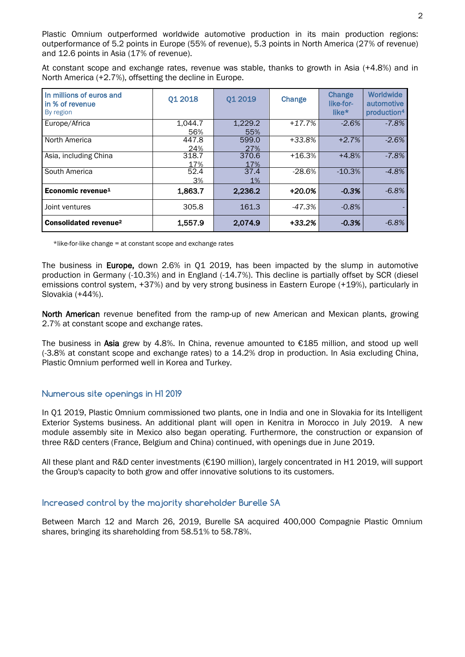Plastic Omnium outperformed worldwide automotive production in its main production regions: outperformance of 5.2 points in Europe (55% of revenue), 5.3 points in North America (27% of revenue) and 12.6 points in Asia (17% of revenue).

At constant scope and exchange rates, revenue was stable, thanks to growth in Asia (+4.8%) and in North America (+2.7%), offsetting the decline in Europe.

| In millions of euros and<br>in % of revenue<br>By region | 01 2018        | 01 2019        | Change   | <b>Change</b><br>like-for-<br>like $*$ | <b>Worldwide</b><br>automotive<br>production <sup>4</sup> |
|----------------------------------------------------------|----------------|----------------|----------|----------------------------------------|-----------------------------------------------------------|
| Europe/Africa                                            | 1,044.7<br>56% | 1,229.2<br>55% | $+17.7%$ | $-2.6%$                                | $-7.8%$                                                   |
| North America                                            | 447.8<br>24%   | 599.0<br>27%   | $+33.8%$ | $+2.7%$                                | $-2.6%$                                                   |
| Asia, including China                                    | 318.7<br>17%   | 370.6<br>17%   | $+16.3%$ | $+4.8%$                                | $-7.8%$                                                   |
| South America                                            | 52.4<br>3%     | 37.4<br>$1\%$  | $-28.6%$ | $-10.3%$                               | $-4.8%$                                                   |
| Economic revenue <sup>1</sup>                            | 1,863.7        | 2,236.2        | +20.0%   | $-0.3%$                                | $-6.8%$                                                   |
| Joint ventures                                           | 305.8          | 161.3          | -47.3%   | $-0.8%$                                |                                                           |
| Consolidated revenue <sup>2</sup>                        | 1,557.9        | 2,074.9        | $+33.2%$ | $-0.3%$                                | $-6.8%$                                                   |

\*like-for-like change = at constant scope and exchange rates

The business in Europe, down 2.6% in Q1 2019, has been impacted by the slump in automotive production in Germany (-10.3%) and in England (-14.7%). This decline is partially offset by SCR (diesel emissions control system, +37%) and by very strong business in Eastern Europe (+19%), particularly in Slovakia (+44%).

North American revenue benefited from the ramp-up of new American and Mexican plants, growing 2.7% at constant scope and exchange rates.

The business in Asia grew by 4.8%. In China, revenue amounted to  $E185$  million, and stood up well (-3.8% at constant scope and exchange rates) to a 14.2% drop in production. In Asia excluding China, Plastic Omnium performed well in Korea and Turkey.

### **Numerous site openings in H1 2019**

In Q1 2019, Plastic Omnium commissioned two plants, one in India and one in Slovakia for its Intelligent Exterior Systems business. An additional plant will open in Kenitra in Morocco in July 2019. A new module assembly site in Mexico also began operating. Furthermore, the construction or expansion of three R&D centers (France, Belgium and China) continued, with openings due in June 2019.

All these plant and R&D center investments (€190 million), largely concentrated in H1 2019, will support the Group's capacity to both grow and offer innovative solutions to its customers.

#### **Increased control by the majority shareholder Burelle SA**

Between March 12 and March 26, 2019, Burelle SA acquired 400,000 Compagnie Plastic Omnium shares, bringing its shareholding from 58.51% to 58.78%.